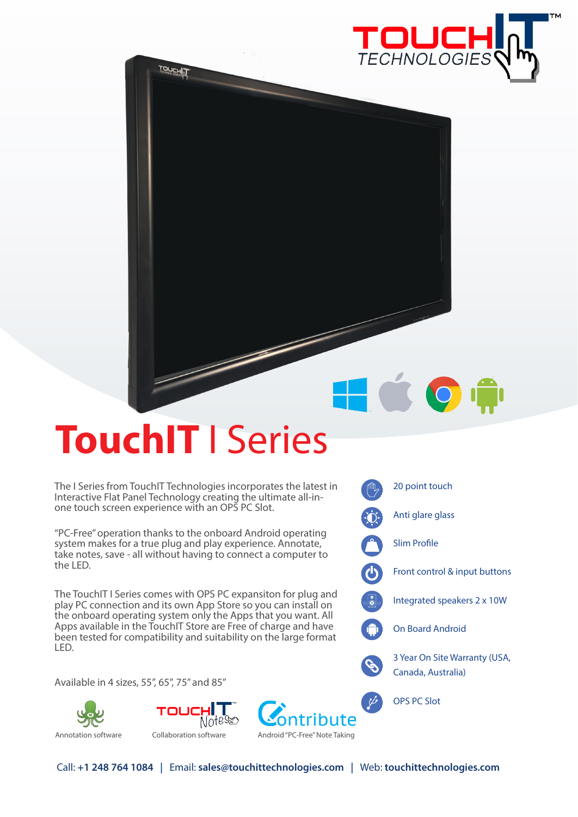

## **TouchIT** I Series

**TOUCHIT** 

The I Series from TouchIT Technologies incorporates the latest in Interactive Flat Panel Technology creating the ultimate all-inone touch screen experience with an OPS PC Slot.

"PC-Free" operation thanks to the onboard Android operating system makes for a true plug and play experience. Annotate, take notes, save - all without having to connect a computer to the LED.

The TouchIT I Series comes with OPS PC expansiton for plug and play PC connection and its own App Store so you can install on the onboard operating system only the Apps that you want. All Apps available in the TouchIT Store are Free of charge and have been tested for compatibility and suitability on the large format LED.

Available in 4 sizes, 55", 65", 75" and 85"



Ô. Anti glare glass 

20 point touch

HOO

Slim Profile

 $\bigcirc$ 

Front control & input buttons

Integrated speakers 2 x 10W

On Board Android

3 Year On Site Warranty (USA, Canada, Australia)

OPS PC Slot

Notess Annotation software Collaboration software Android "PC-Free" Note Taking

TOUCHLI

Call: **+1 248 764 1084 |** Email: **sales@touchittechnologies.com |** Web: **touchittechnologies.com**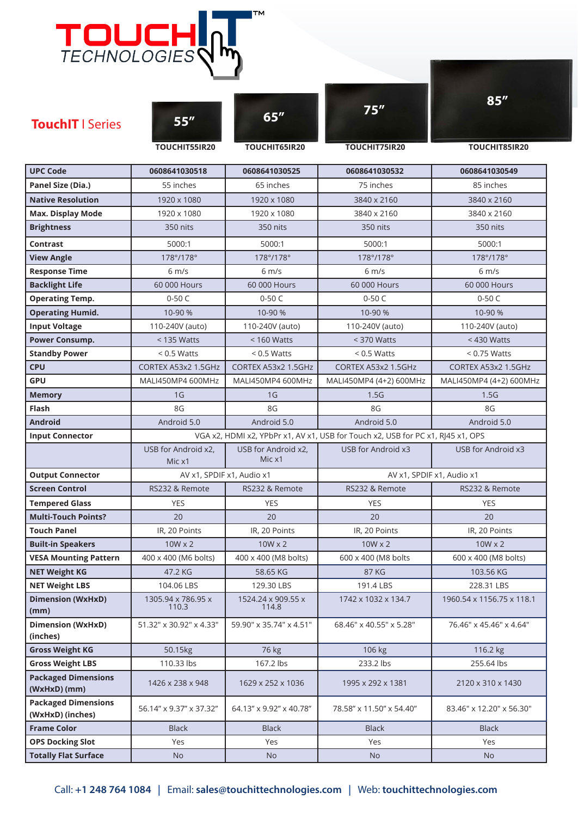|                                                | <b>TOUCHI</b>                 |                               |                                                                                 |                           |
|------------------------------------------------|-------------------------------|-------------------------------|---------------------------------------------------------------------------------|---------------------------|
| <b>TouchIT</b>   Series                        | 55''<br>TOUCHIT55IR20         | 65''<br>TOUCHIT65IR20         | 75''<br>TOUCHIT75IR20                                                           | 85''<br>TOUCHIT85IR20     |
| <b>UPC Code</b>                                | 0608641030518                 | 0608641030525                 | 0608641030532                                                                   | 0608641030549             |
| Panel Size (Dia.)                              | 55 inches                     | 65 inches                     | 75 inches                                                                       | 85 inches                 |
| <b>Native Resolution</b>                       | 1920 x 1080                   | 1920 x 1080                   | 3840 x 2160                                                                     | 3840 x 2160               |
|                                                | 1920 x 1080                   | 1920 x 1080                   | 3840 x 2160                                                                     | 3840 x 2160               |
| <b>Max. Display Mode</b><br><b>Brightness</b>  | 350 nits                      | 350 nits                      | 350 nits                                                                        | 350 nits                  |
|                                                |                               |                               |                                                                                 |                           |
| <b>Contrast</b>                                | 5000:1                        | 5000:1                        | 5000:1                                                                          | 5000:1                    |
| <b>View Angle</b>                              | 178°/178°                     | 178°/178°                     | 178°/178°                                                                       | 178°/178°                 |
| <b>Response Time</b>                           | $6 \, \text{m/s}$             | $6 \, \text{m/s}$             | $6 \, \text{m/s}$                                                               | $6 \text{ m/s}$           |
| <b>Backlight Life</b>                          | 60 000 Hours                  | 60 000 Hours                  | 60 000 Hours                                                                    | 60 000 Hours              |
| <b>Operating Temp.</b>                         | $0-50C$                       | $0-50C$                       | $0-50C$                                                                         | $0-50C$                   |
| <b>Operating Humid.</b>                        | 10-90 %                       | 10-90 %                       | 10-90 %                                                                         | 10-90 %                   |
| <b>Input Voltage</b>                           | 110-240V (auto)               | 110-240V (auto)               | 110-240V (auto)                                                                 | 110-240V (auto)           |
| <b>Power Consump.</b>                          | $<$ 135 Watts                 | $<$ 160 Watts                 | $<$ 370 Watts                                                                   | $<$ 430 Watts             |
| <b>Standby Power</b>                           | $< 0.5$ Watts                 | $< 0.5$ Watts                 | $< 0.5$ Watts                                                                   | $< 0.75$ Watts            |
| <b>CPU</b>                                     | CORTEX A53x2 1.5GHz           | CORTEX A53x2 1.5GHz           | CORTEX A53x2 1.5GHz                                                             | CORTEX A53x2 1.5GHz       |
| <b>GPU</b>                                     | MALI450MP4 600MHz             | MALI450MP4 600MHz             | MALI450MP4 (4+2) 600MHz                                                         | MALI450MP4 (4+2) 600MHz   |
| <b>Memory</b>                                  | 1 <sub>G</sub>                | 1 <sub>G</sub>                | 1.5G                                                                            | 1.5G                      |
| Flash                                          | 8G                            | 8G                            | 8G                                                                              | 8G                        |
| <b>Android</b>                                 | Android 5.0                   | Android 5.0                   | Android 5.0                                                                     | Android 5.0               |
| <b>Input Connector</b>                         |                               |                               | VGA x2, HDMI x2, YPbPr x1, AV x1, USB for Touch x2, USB for PC x1, RJ45 x1, OPS |                           |
|                                                | USB for Android x2,<br>Mic x1 | USB for Android x2,<br>Mic x1 | USB for Android x3                                                              | USB for Android x3        |
| <b>Output Connector</b>                        | AV x1, SPDIF x1, Audio x1     |                               | AV x1, SPDIF x1, Audio x1                                                       |                           |
| <b>Screen Control</b>                          | RS232 & Remote                | RS232 & Remote                | RS232 & Remote                                                                  | RS232 & Remote            |
| <b>Tempered Glass</b>                          | <b>YES</b>                    | <b>YES</b>                    | <b>YES</b>                                                                      | <b>YES</b>                |
| <b>Multi-Touch Points?</b>                     | 20                            | 20                            | 20                                                                              | 20                        |
| <b>Touch Panel</b>                             | IR, 20 Points                 | IR, 20 Points                 | IR, 20 Points                                                                   | IR, 20 Points             |
| <b>Built-in Speakers</b>                       | $10W \times 2$                | $10W \times 2$                |                                                                                 |                           |
|                                                |                               |                               | $10W \times 2$                                                                  | $10W \times 2$            |
| <b>VESA Mounting Pattern</b>                   | 400 x 400 (M6 bolts)          | 400 x 400 (M8 bolts)          | 600 x 400 (M8 bolts                                                             | 600 x 400 (M8 bolts)      |
| <b>NET Weight KG</b>                           | 47.2 KG                       | 58.65 KG                      | 87 KG                                                                           | 103.56 KG                 |
| <b>NET Weight LBS</b>                          | 104.06 LBS                    | 129.30 LBS                    | 191.4 LBS                                                                       | 228.31 LBS                |
| <b>Dimension (WxHxD)</b><br>(mm)               | 1305.94 x 786.95 x<br>110.3   | 1524.24 x 909.55 x<br>114.8   | 1742 x 1032 x 134.7                                                             | 1960.54 x 1156.75 x 118.1 |
| <b>Dimension (WxHxD)</b><br>(inches)           | 51.32" x 30.92" x 4.33"       | 59.90" x 35.74" x 4.51"       | 68.46" x 40.55" x 5.28"                                                         | 76.46" x 45.46" x 4.64"   |
| <b>Gross Weight KG</b>                         | 50.15kg                       | 76 kg                         | 106 kg                                                                          | 116.2 kg                  |
| <b>Gross Weight LBS</b>                        | 110.33 lbs                    | 167.2 lbs                     | 233.2 lbs                                                                       | 255.64 lbs                |
| <b>Packaged Dimensions</b><br>(WxHxD) (mm)     | 1426 x 238 x 948              | 1629 x 252 x 1036             | 1995 x 292 x 1381                                                               | 2120 x 310 x 1430         |
| <b>Packaged Dimensions</b><br>(WxHxD) (inches) | 56.14" x 9.37" x 37.32"       | 64.13" x 9.92" x 40.78"       | 78.58" x 11.50" x 54.40"                                                        | 83.46" x 12.20" x 56.30"  |
| <b>Frame Color</b>                             | <b>Black</b>                  | <b>Black</b>                  | <b>Black</b>                                                                    | <b>Black</b>              |
| <b>OPS Docking Slot</b>                        | Yes                           | Yes                           | Yes                                                                             | Yes                       |